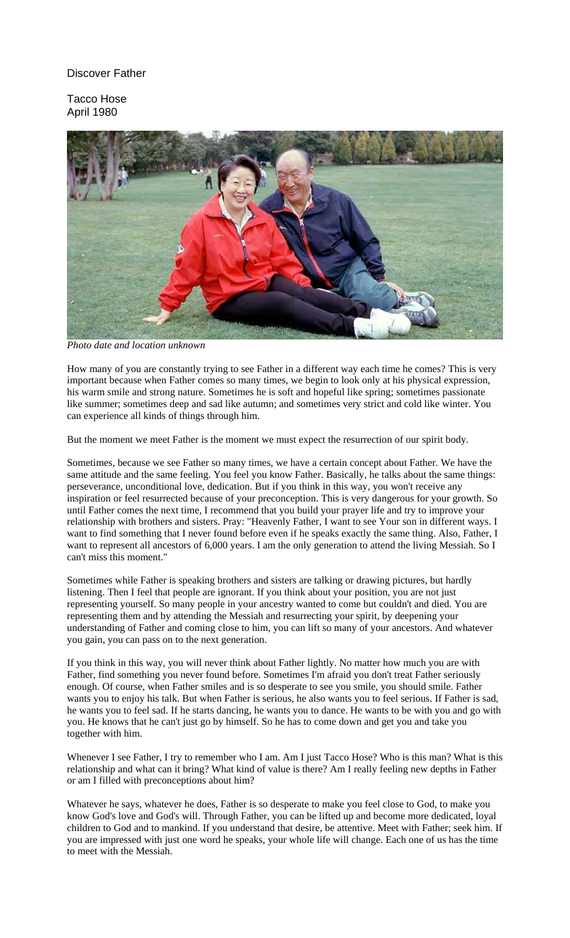## Discover Father

Tacco Hose April 1980



*Photo date and location unknown*

How many of you are constantly trying to see Father in a different way each time he comes? This is very important because when Father comes so many times, we begin to look only at his physical expression, his warm smile and strong nature. Sometimes he is soft and hopeful like spring; sometimes passionate like summer; sometimes deep and sad like autumn; and sometimes very strict and cold like winter. You can experience all kinds of things through him.

But the moment we meet Father is the moment we must expect the resurrection of our spirit body.

Sometimes, because we see Father so many times, we have a certain concept about Father. We have the same attitude and the same feeling. You feel you know Father. Basically, he talks about the same things: perseverance, unconditional love, dedication. But if you think in this way, you won't receive any inspiration or feel resurrected because of your preconception. This is very dangerous for your growth. So until Father comes the next time, I recommend that you build your prayer life and try to improve your relationship with brothers and sisters. Pray: "Heavenly Father, I want to see Your son in different ways. I want to find something that I never found before even if he speaks exactly the same thing. Also, Father, I want to represent all ancestors of 6,000 years. I am the only generation to attend the living Messiah. So I can't miss this moment."

Sometimes while Father is speaking brothers and sisters are talking or drawing pictures, but hardly listening. Then I feel that people are ignorant. If you think about your position, you are not just representing yourself. So many people in your ancestry wanted to come but couldn't and died. You are representing them and by attending the Messiah and resurrecting your spirit, by deepening your understanding of Father and coming close to him, you can lift so many of your ancestors. And whatever you gain, you can pass on to the next generation.

If you think in this way, you will never think about Father lightly. No matter how much you are with Father, find something you never found before. Sometimes I'm afraid you don't treat Father seriously enough. Of course, when Father smiles and is so desperate to see you smile, you should smile. Father wants you to enjoy his talk. But when Father is serious, he also wants you to feel serious. If Father is sad, he wants you to feel sad. If he starts dancing, he wants you to dance. He wants to be with you and go with you. He knows that he can't just go by himself. So he has to come down and get you and take you together with him.

Whenever I see Father, I try to remember who I am. Am I just Tacco Hose? Who is this man? What is this relationship and what can it bring? What kind of value is there? Am I really feeling new depths in Father or am I filled with preconceptions about him?

Whatever he says, whatever he does, Father is so desperate to make you feel close to God, to make you know God's love and God's will. Through Father, you can be lifted up and become more dedicated, loyal children to God and to mankind. If you understand that desire, be attentive. Meet with Father; seek him. If you are impressed with just one word he speaks, your whole life will change. Each one of us has the time to meet with the Messiah.